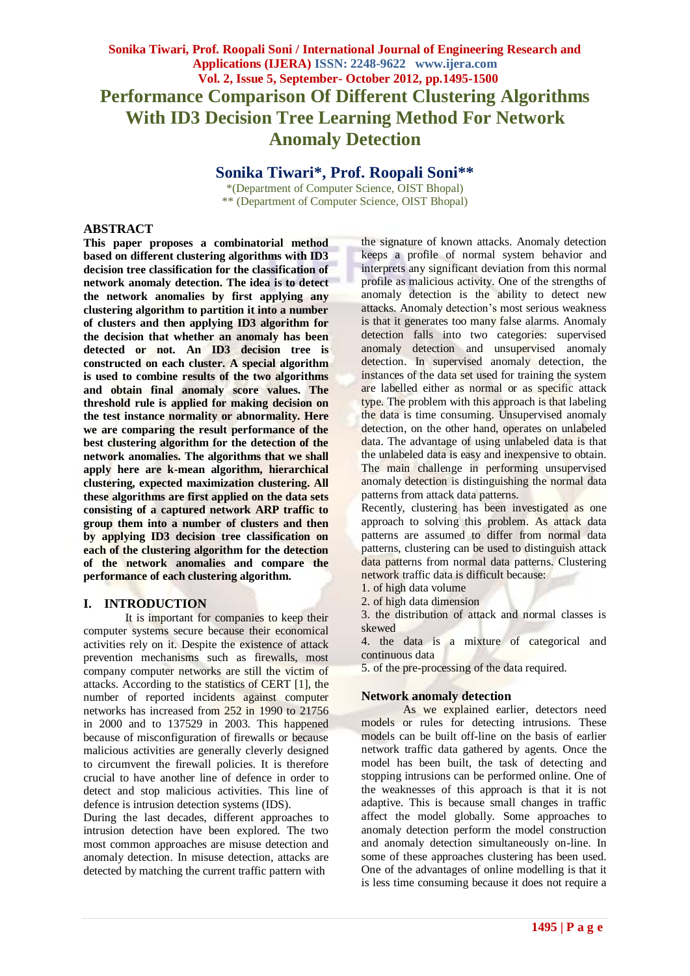# **Sonika Tiwari, Prof. Roopali Soni / International Journal of Engineering Research and Applications (IJERA) ISSN: 2248-9622 www.ijera.com Vol. 2, Issue 5, September- October 2012, pp.1495-1500 Performance Comparison Of Different Clustering Algorithms With ID3 Decision Tree Learning Method For Network Anomaly Detection**

**Sonika Tiwari\*, Prof. Roopali Soni\*\***

\*(Department of Computer Science, OIST Bhopal) \*\* (Department of Computer Science, OIST Bhopal)

### **ABSTRACT**

**This paper proposes a combinatorial method based on different clustering algorithms with ID3 decision tree classification for the classification of network anomaly detection. The idea is to detect the network anomalies by first applying any clustering algorithm to partition it into a number of clusters and then applying ID3 algorithm for the decision that whether an anomaly has been detected or not. An ID3 decision tree is constructed on each cluster. A special algorithm is used to combine results of the two algorithms and obtain final anomaly score values. The threshold rule is applied for making decision on the test instance normality or abnormality. Here we are comparing the result performance of the best clustering algorithm for the detection of the network anomalies. The algorithms that we shall apply here are k-mean algorithm, hierarchical clustering, expected maximization clustering. All these algorithms are first applied on the data sets consisting of a captured network ARP traffic to group them into a number of clusters and then by applying ID3 decision tree classification on each of the clustering algorithm for the detection of the network anomalies and compare the performance of each clustering algorithm.**

### **I. INTRODUCTION**

It is important for companies to keep their computer systems secure because their economical activities rely on it. Despite the existence of attack prevention mechanisms such as firewalls, most company computer networks are still the victim of attacks. According to the statistics of CERT [1], the number of reported incidents against computer networks has increased from 252 in 1990 to 21756 in 2000 and to 137529 in 2003. This happened because of misconfiguration of firewalls or because malicious activities are generally cleverly designed to circumvent the firewall policies. It is therefore crucial to have another line of defence in order to detect and stop malicious activities. This line of defence is intrusion detection systems (IDS).

During the last decades, different approaches to intrusion detection have been explored. The two most common approaches are misuse detection and anomaly detection. In misuse detection, attacks are detected by matching the current traffic pattern with

the signature of known attacks. Anomaly detection keeps a profile of normal system behavior and interprets any significant deviation from this normal profile as malicious activity. One of the strengths of anomaly detection is the ability to detect new attacks. Anomaly detection's most serious weakness is that it generates too many false alarms. Anomaly detection falls into two categories: supervised anomaly detection and unsupervised anomaly detection. In supervised anomaly detection, the instances of the data set used for training the system are labelled either as normal or as specific attack type. The problem with this approach is that labeling the data is time consuming. Unsupervised anomaly detection, on the other hand, operates on unlabeled data. The advantage of using unlabeled data is that the unlabeled data is easy and inexpensive to obtain. The main challenge in performing unsupervised anomaly detection is distinguishing the normal data patterns from attack data patterns.

Recently, clustering has been investigated as one approach to solving this problem. As attack data patterns are assumed to differ from normal data patterns, clustering can be used to distinguish attack data patterns from normal data patterns. Clustering network traffic data is difficult because:

1. of high data volume

2. of high data dimension

3. the distribution of attack and normal classes is skewed

4. the data is a mixture of categorical and continuous data

5. of the pre-processing of the data required.

### **Network anomaly detection**

As we explained earlier, detectors need models or rules for detecting intrusions. These models can be built off-line on the basis of earlier network traffic data gathered by agents. Once the model has been built, the task of detecting and stopping intrusions can be performed online. One of the weaknesses of this approach is that it is not adaptive. This is because small changes in traffic affect the model globally. Some approaches to anomaly detection perform the model construction and anomaly detection simultaneously on-line. In some of these approaches clustering has been used. One of the advantages of online modelling is that it is less time consuming because it does not require a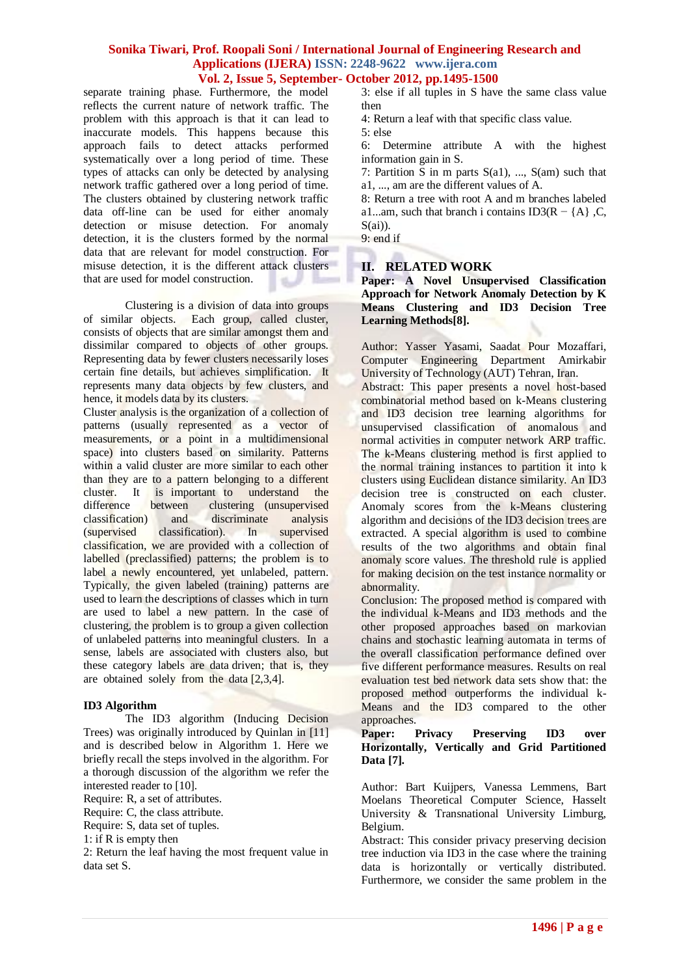separate training phase. Furthermore, the model reflects the current nature of network traffic. The problem with this approach is that it can lead to inaccurate models. This happens because this approach fails to detect attacks performed systematically over a long period of time. These types of attacks can only be detected by analysing network traffic gathered over a long period of time. The clusters obtained by clustering network traffic data off-line can be used for either anomaly detection or misuse detection. For anomaly detection, it is the clusters formed by the normal data that are relevant for model construction. For misuse detection, it is the different attack clusters that are used for model construction.

Clustering is a division of data into groups of similar objects. Each group, called cluster, consists of objects that are similar amongst them and dissimilar compared to objects of other groups. Representing data by fewer clusters necessarily loses certain fine details, but achieves simplification. It represents many data objects by few clusters, and hence, it models data by its clusters.

Cluster analysis is the organization of a collection of patterns (usually represented as a vector of measurements, or a point in a multidimensional space) into clusters based on similarity. Patterns within a valid cluster are more similar to each other than they are to a pattern belonging to a different cluster. It is important to understand the difference between clustering (unsupervised between clustering (unsupervised classification) and discriminate analysis (supervised classification). In supervised classification, we are provided with a collection of labelled (preclassified) patterns; the problem is to label a newly encountered, yet unlabeled, pattern. Typically, the given labeled (training) patterns are used to learn the descriptions of classes which in turn are used to label a new pattern. In the case of clustering, the problem is to group a given collection of unlabeled patterns into meaningful clusters. In a sense, labels are associated with clusters also, but these category labels are data driven; that is, they are obtained solely from the data [2,3,4].

### **ID3 Algorithm**

The ID3 algorithm (Inducing Decision Trees) was originally introduced by Quinlan in [11] and is described below in Algorithm 1. Here we briefly recall the steps involved in the algorithm. For a thorough discussion of the algorithm we refer the interested reader to [10].

Require: R, a set of attributes.

Require: C, the class attribute.

Require: S, data set of tuples.

1: if R is empty then

2: Return the leaf having the most frequent value in data set S.

3: else if all tuples in S have the same class value then

4: Return a leaf with that specific class value.

5: else

6: Determine attribute A with the highest information gain in S.

7: Partition S in m parts  $S(a1)$ , ...,  $S(am)$  such that a1, ..., am are the different values of A.

8: Return a tree with root A and m branches labeled a1...am, such that branch i contains ID3( $R - \{A\}$ , C,  $S(ai)$ ).

9: end if

### **II. RELATED WORK**

**Paper: A Novel Unsupervised Classification Approach for Network Anomaly Detection by K Means Clustering and ID3 Decision Tree Learning Methods[8].**

Author: Yasser Yasami, Saadat Pour Mozaffari, Computer Engineering Department Amirkabir University of Technology (AUT) Tehran, Iran.

Abstract: This paper presents a novel host-based combinatorial method based on k-Means clustering and ID3 decision tree learning algorithms for unsupervised classification of anomalous and normal activities in computer network ARP traffic. The k-Means clustering method is first applied to the normal training instances to partition it into k clusters using Euclidean distance similarity. An ID3 decision tree is constructed on each cluster. Anomaly scores from the k-Means clustering algorithm and decisions of the ID3 decision trees are extracted. A special algorithm is used to combine results of the two algorithms and obtain final anomaly score values. The threshold rule is applied for making decision on the test instance normality or abnormality.

Conclusion: The proposed method is compared with the individual k-Means and ID3 methods and the other proposed approaches based on markovian chains and stochastic learning automata in terms of the overall classification performance defined over five different performance measures. Results on real evaluation test bed network data sets show that: the proposed method outperforms the individual k-Means and the ID3 compared to the other approaches.

### **Paper: Privacy Preserving ID3 over Horizontally, Vertically and Grid Partitioned Data [7].**

Author: Bart Kuijpers, Vanessa Lemmens, Bart Moelans Theoretical Computer Science, Hasselt University & Transnational University Limburg, Belgium.

Abstract: This consider privacy preserving decision tree induction via ID3 in the case where the training data is horizontally or vertically distributed. Furthermore, we consider the same problem in the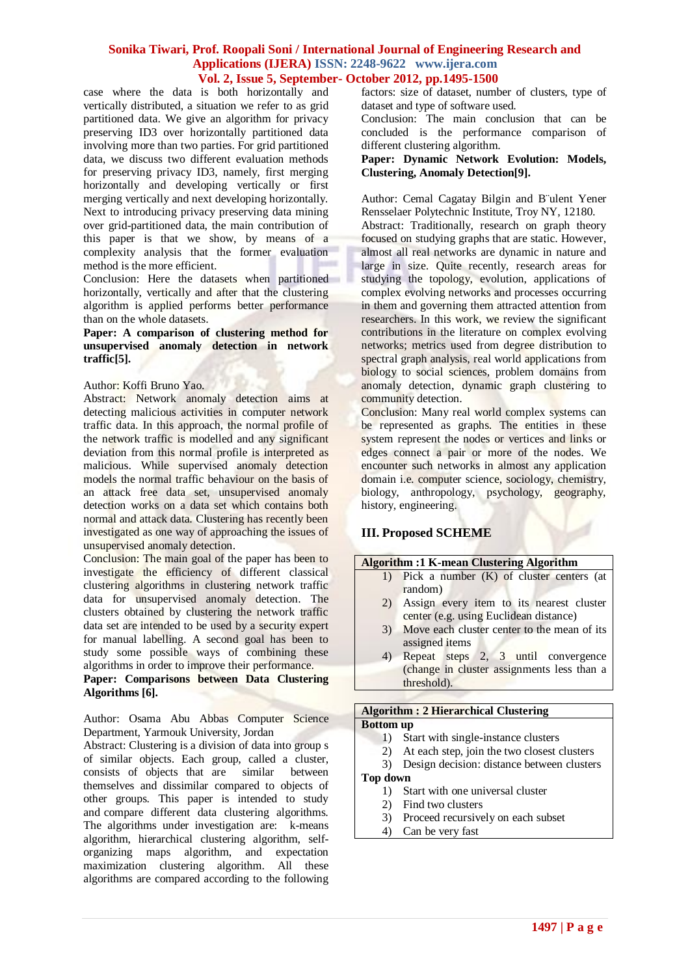case where the data is both horizontally and vertically distributed, a situation we refer to as grid partitioned data. We give an algorithm for privacy preserving ID3 over horizontally partitioned data involving more than two parties. For grid partitioned data, we discuss two different evaluation methods for preserving privacy ID3, namely, first merging horizontally and developing vertically or first merging vertically and next developing horizontally. Next to introducing privacy preserving data mining over grid-partitioned data, the main contribution of this paper is that we show, by means of a complexity analysis that the former evaluation method is the more efficient.

Conclusion: Here the datasets when partitioned horizontally, vertically and after that the clustering algorithm is applied performs better performance than on the whole datasets.

### **Paper: A comparison of clustering method for unsupervised anomaly detection in network traffic[5].**

#### Author: Koffi Bruno Yao.

Abstract: Network anomaly detection aims at detecting malicious activities in computer network traffic data. In this approach, the normal profile of the network traffic is modelled and any significant deviation from this normal profile is interpreted as malicious. While supervised anomaly detection models the normal traffic behaviour on the basis of an attack free data set, unsupervised anomaly detection works on a data set which contains both normal and attack data. Clustering has recently been investigated as one way of approaching the issues of unsupervised anomaly detection.

Conclusion: The main goal of the paper has been to investigate the efficiency of different classical clustering algorithms in clustering network traffic data for unsupervised anomaly detection. The clusters obtained by clustering the network traffic data set are intended to be used by a security expert for manual labelling. A second goal has been to study some possible ways of combining these algorithms in order to improve their performance.

### **Paper: Comparisons between Data Clustering Algorithms [6].**

Author: Osama Abu Abbas Computer Science Department, Yarmouk University, Jordan

Abstract: Clustering is a division of data into group s of similar objects. Each group, called a cluster, consists of objects that are similar between themselves and dissimilar compared to objects of other groups. This paper is intended to study and compare different data clustering algorithms. The algorithms under investigation are: k-means algorithm, hierarchical clustering algorithm, selforganizing maps algorithm, and expectation maximization clustering algorithm. All these algorithms are compared according to the following

factors: size of dataset, number of clusters, type of dataset and type of software used.

Conclusion: The main conclusion that can be concluded is the performance comparison of different clustering algorithm.

#### **Paper: Dynamic Network Evolution: Models, Clustering, Anomaly Detection[9].**

Author: Cemal Cagatay Bilgin and B¨ulent Yener Rensselaer Polytechnic Institute, Troy NY, 12180.

Abstract: Traditionally, research on graph theory focused on studying graphs that are static. However, almost all real networks are dynamic in nature and large in size. Quite recently, research areas for studying the topology, evolution, applications of complex evolving networks and processes occurring in them and governing them attracted attention from researchers. In this work, we review the significant contributions in the literature on complex evolving networks; metrics used from degree distribution to spectral graph analysis, real world applications from biology to social sciences, problem domains from anomaly detection, dynamic graph clustering to community detection.

Conclusion: Many real world complex systems can be represented as graphs. The entities in these system represent the nodes or vertices and links or edges connect a pair or more of the nodes. We encounter such networks in almost any application domain i.e. computer science, sociology, chemistry, biology, anthropology, psychology, geography, history, engineering.

# **III. Proposed SCHEME**

| <b>Algorithm :1 K-mean Clustering Algorithm</b>                                       |
|---------------------------------------------------------------------------------------|
| Pick a number $(K)$ of cluster centers (at                                            |
| random)<br>Assign every item to its nearest cluster                                   |
| center (e.g. using Euclidean distance)<br>Move each cluster center to the mean of its |
| assigned items                                                                        |
| Repeat steps 2, 3 until convergence<br>(change in cluster assignments less than a     |
| threshold).                                                                           |
|                                                                                       |
| <b>Algorithm: 2 Hierarchical Clustering</b>                                           |
| <b>Bottom up</b>                                                                      |
| Start with single-instance clusters<br>.                                              |
|                                                                                       |

- 2) At each step, join the two closest clusters
- 3) Design decision: distance between clusters

### **Top down**

- 1) Start with one universal cluster
- 2) Find two clusters
- 3) Proceed recursively on each subset
- 4) Can be very fast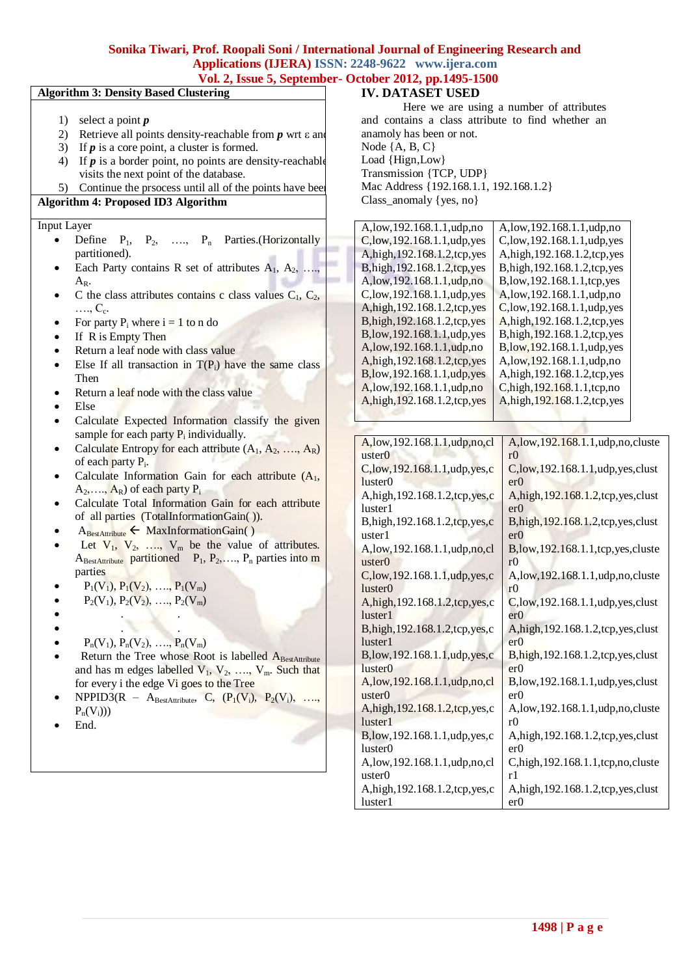# **Sonika Tiwari, Prof. Roopali Soni / International Journal of Engineering Research and Applications (IJERA) ISSN: 2248-9622 www.ijera.com**

# **Vol. 2, Issue 5, September- October 2012, pp.1495-1500**

# **Algorithm 3: Density Based Clustering** 1) select a point *p* 2) Retrieve all points density-reachable from  $p$  wrt  $\varepsilon$  and 3) If *p* is a core point, a cluster is formed. 4) If  $p$  is a border point, no points are density-reachable visits the next point of the database. 5) Continue the prsocess until all of the points have bee **Algorithm 4: Proposed ID3 Algorithm** Input Layer Define  $P_1$ ,  $P_2$ , ….,  $P_n$  Parties.(Horizontally partitioned). Each Party contains R set of attributes  $A_1, A_2, \ldots$  $A_R$ . C the class attributes contains c class values  $C_1$ ,  $C_2$ , ...., C<sub>c</sub>. For party  $P_i$  where  $i = 1$  to n do If R is Empty Then Return a leaf node with class value Else If all transaction in  $T(P_i)$  have the same class Then • Return a leaf node with the class value Else Calculate Expected Information classify the given sample for each party  $P_i$  individually. Calculate Entropy for each attribute  $(A_1, A_2, ..., A_R)$ of each party P<sub>i</sub>. Calculate Information Gain for each attribute  $(A_1,$  $A_2, \ldots, A_R$ ) of each party  $P_i$  Calculate Total Information Gain for each attribute of all parties (TotalInformationGain( )).  $A_{\text{BestAttribute}} \leftarrow \text{MaxInformationGain}()$ Let  $V_1$ ,  $V_2$ , ...,  $V_m$  be the value of attributes.  $A_{\text{BestAttribute}}$  partitioned  $P_1, P_2, ..., P_n$  parties into m parties  $P_1(V_1), P_1(V_2), \ldots, P_1(V_m)$  $P_2(V_1), P_2(V_2), \ldots, P_2(V_m)$  . . . .  $P_n(V_1), P_n(V_2), \ldots, P_n(V_m)$ Return the Tree whose Root is labelled ABestAttribute and has m edges labelled  $V_1$ ,  $V_2$ , ...,  $V_m$ . Such that for every i the edge Vi goes to the Tree  $NPPID3(R - A_{\text{BestAttribute}}, C, (P_1(V_i), P_2(V_i), ...,$  $P_n(V_i))$ End.

### **IV. DATASET USED**

Here we are using a number of attributes and contains a class attribute to find whether an anamoly has been or not. Node {A, B, C} Load {Hign,Low} Transmission {TCP, UDP} Mac Address {192.168.1.1, 192.168.1.2} Class\_anomaly {yes, no}

| A,low,192.168.1.1,udp,no          | A, low, 192.168.1.1, udp, no          |
|-----------------------------------|---------------------------------------|
| C,low, 192.168.1.1, udp, yes      | C,low, 192.168.1.1, udp, yes          |
| A, high, 192.168.1.2, tcp, yes    | A, high, 192.168.1.2, tcp, yes        |
| B, high, 192.168.1.2, tcp, yes    | B, high, 192.168.1.2, tcp, yes        |
| A,low,192.168.1.1,udp,no          | B,low, 192.168.1.1, tcp, yes          |
| C,low, 192.168.1.1, udp, yes      | A,low,192.168.1.1,udp,no              |
| A, high, 192.168.1.2, tcp, yes    | C, low, 192.168.1.1, udp, yes         |
| B, high, 192.168.1.2, tcp, yes    | A,high, 192.168.1.2,tcp, yes          |
| B,low, 192.168.1.1, udp, yes      | B,high, 192.168.1.2,tcp, yes          |
| A,low,192.168.1.1,udp,no          | B,low, 192.168.1.1, udp, yes          |
| A, high, 192.168.1.2, tcp, yes    | A, low, 192.168.1.1, udp, no          |
| B,low, 192.168.1.1, udp, yes      | A, high, 192.168.1.2, tcp, yes        |
| A, low, 192.168.1.1, udp, no      | C,high, 192.168.1.1,tcp,no            |
| A, high, 192.168.1.2, tcp, yes    | A, high, 192.168.1.2, tcp, yes        |
|                                   |                                       |
|                                   |                                       |
| A,low, 192.168.1.1, udp, no, cl   | A,low,192.168.1.1,udp,no,cluste       |
| uster <sub>0</sub>                | r0                                    |
| C, low, 192.168.1.1, udp, yes, c  | C,low, 192.168.1.1, udp, yes, clust   |
| luster <sub>0</sub>               | er0                                   |
| A, high, 192.168.1.2, tcp, yes, c | A, high, 192.168.1.2, tcp, yes, clust |
| luster1                           | er0                                   |
| B, high, 192.168.1.2, tcp, yes, c | B, high, 192.168.1.2, tcp, yes, clust |
| uster1                            | er0                                   |
| A,low,192.168.1.1,udp,no,cl       | B,low, 192.168.1.1, tcp, yes, cluste  |
| uster <sub>0</sub>                | r <sub>0</sub>                        |
| C,low, 192.168.1.1, udp, yes, c   | A,low,192.168.1.1,udp,no,cluste       |
| luster <sub>0</sub>               | r <sub>0</sub>                        |
| A, high, 192.168.1.2, tcp, yes, c | C,low, 192.168.1.1, udp, yes, clust   |
| luster1                           | er0                                   |
| B,high, 192.168.1.2,tcp, yes, c   | A, high, 192.168.1.2, tcp, yes, clust |
| luster1                           | er0                                   |
| B,low,192.168.1.1,udp,yes,c       | B, high, 192.168.1.2, tcp, yes, clust |
| luster <sub>0</sub>               | er0                                   |
| A,low, 192.168.1.1, udp, no, cl   | B,low,192.168.1.1,udp,yes,clust       |
| uster <sub>0</sub>                | er0                                   |
| A, high, 192.168.1.2, tcp, yes, c | A,low,192.168.1.1,udp,no,cluste       |
| luster1                           | r <sub>0</sub>                        |
| B,low, 192.168.1.1, udp, yes, c   | A, high, 192.168.1.2, tcp, yes, clust |
| luster <sub>0</sub>               | er0                                   |

r1

er0

A,low,192.168.1.1,udp,no,cl

A,high,192.168.1.2,tcp,yes,c

uster0

luster1

C,high,192.168.1.1,tcp,no,cluste

A,high,192.168.1.2,tcp,yes,clust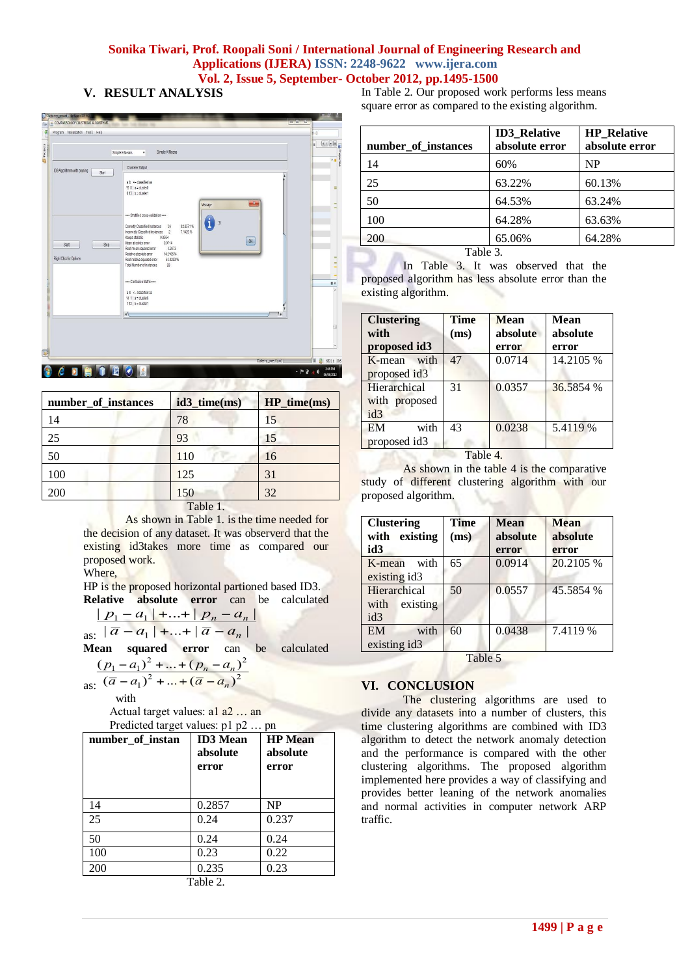# **V. RESULT ANALYSIS**



| number_of_instances | id3_time(ms) | $HP_time(ms)$ |
|---------------------|--------------|---------------|
| $\frac{4}{4}$       | 78           | 15            |
|                     | 93           | 15            |
| 50                  | 110          | 16            |
| 100                 | 125          | 31            |
| .00                 | 150          | 32            |

Table 1.

As shown in Table 1. is the time needed for the decision of any dataset. It was observerd that the existing id3takes more time as compared our proposed work.

Where,

HP is the proposed horizontal partioned based ID3. **Relative absolute error** can be calculated

$$
p_1 - a_1 + \ldots + p_n - a_n
$$

as: 
$$
|a - a_1| + ... + |a - a_n|
$$
  
Mean squared error can be ca

**Mean squared error** can be calculated  $(p_1 - a_1)^2 + ... + (p_n - a_n)^2$  $(p_1-a_1)^2$  + ... +  $(p_n)$  $^{2}$ 

as: 
$$
(\overline{a} - a_1)^2 + ... + (\overline{a} - a_n)^2
$$

with

Actual target values: a1 a2 … an Predicted target values: p1 p2 … pp

| number_of_instan | <b>ID3</b> Mean<br>absolute<br>error | <b>HP</b> Mean<br>absolute<br>error |
|------------------|--------------------------------------|-------------------------------------|
| 14               | 0.2857                               | <b>NP</b>                           |
| 25               | 0.24                                 | 0.237                               |
| 50               | 0.24                                 | 0.24                                |
| 100              | 0.23                                 | 0.22                                |
| 200              | 0.235                                | 0.23                                |
| Table 2.         |                                      |                                     |

In Table 2. Our proposed work performs less means square error as compared to the existing algorithm.

| number of instances                          | <b>ID3</b> Relative<br>absolute error | <b>HP</b> Relative<br>absolute error |
|----------------------------------------------|---------------------------------------|--------------------------------------|
| 14                                           | 60%                                   | NP                                   |
| 25                                           | 63.22%                                | 60.13%                               |
| 50                                           | 64.53%                                | 63.24%                               |
| 100                                          | 64.28%                                | 63.63%                               |
| 200                                          | 65.06%                                | 64.28%                               |
| $T_2$ $\mathbf{L}$ $\mathbf{L}$ $\mathbf{L}$ |                                       |                                      |

Table 3.

In Table 3. It was observed that the proposed algorithm has less absolute error than the existing algorithm.

| <b>Clustering</b><br>with | <b>Time</b><br>(ms) | <b>Mean</b><br>absolute | Mean<br>absolute |
|---------------------------|---------------------|-------------------------|------------------|
| proposed id3              |                     | error                   | error            |
| K-mean with               | 47                  | 0.0714                  | 14.2105 %        |
| proposed id3              |                     |                         |                  |
| Hierarchical              | 31                  | 0.0357                  | 36.5854 %        |
| with proposed             |                     |                         |                  |
| id3                       |                     |                         |                  |
| with<br><b>EM</b>         | 43                  | 0.0238                  | 5.4119 %         |
| proposed id3              |                     |                         |                  |
| Table 4.                  |                     |                         |                  |

As shown in the table 4 is the comparative study of different clustering algorithm with our proposed algorithm.

| <b>Clustering</b><br>with existing<br>id3 | Time<br>(ms) | <b>Mean</b><br>absolute<br>error | <b>Mean</b><br>absolute<br>error |
|-------------------------------------------|--------------|----------------------------------|----------------------------------|
| with<br>K-mean<br>existing id3            | 65           | 0.0914                           | 20.2105 %                        |
| Hierarchical<br>existing<br>with<br>id3   | 50           | 0.0557                           | 45.5854 %                        |
| with<br><b>EM</b><br>existing id3         | 60           | 0.0438                           | 7.4119 %                         |
| Table 5                                   |              |                                  |                                  |

# **VI. CONCLUSION**

The clustering algorithms are used to divide any datasets into a number of clusters, this time clustering algorithms are combined with ID3 algorithm to detect the network anomaly detection and the performance is compared with the other clustering algorithms. The proposed algorithm implemented here provides a way of classifying and provides better leaning of the network anomalies and normal activities in computer network ARP traffic.